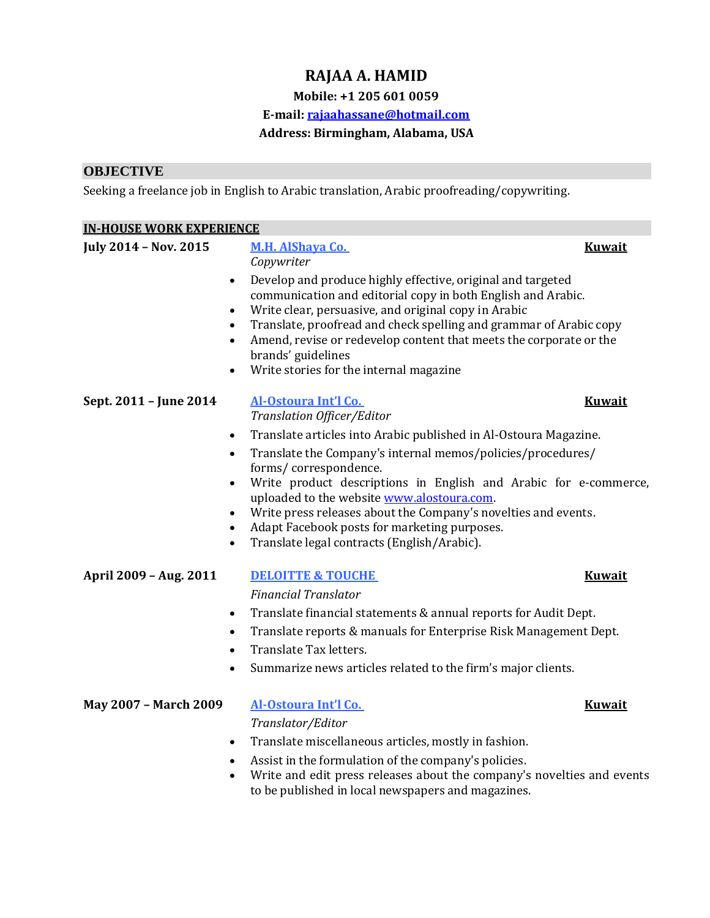# **RAJAA A. HAMID**

### **Mobile: +1 205 601 0059**

#### **E-mail: [rajaahassane@hotmail.com](mailto:rajaahassane@hotmail.com)**

#### **Address: Birmingham, Alabama, USA**

### **OBJECTIVE**

Seeking a freelance job in English to Arabic translation, Arabic proofreading/copywriting.

| <b>IN-HOUSE WORK EXPERIENCE</b> |                                                                                                                                                                                                                                                                                                                                                                                                                                                                                                                                                                                 |               |
|---------------------------------|---------------------------------------------------------------------------------------------------------------------------------------------------------------------------------------------------------------------------------------------------------------------------------------------------------------------------------------------------------------------------------------------------------------------------------------------------------------------------------------------------------------------------------------------------------------------------------|---------------|
| July 2014 - Nov. 2015           | <b>M.H. AlShaya Co.</b><br>Copywriter<br>Develop and produce highly effective, original and targeted<br>$\bullet$<br>communication and editorial copy in both English and Arabic.<br>Write clear, persuasive, and original copy in Arabic<br>$\bullet$<br>Translate, proofread and check spelling and grammar of Arabic copy<br>Amend, revise or redevelop content that meets the corporate or the<br>brands' guidelines<br>Write stories for the internal magazine                                                                                                             | <b>Kuwait</b> |
| Sept. 2011 - June 2014          | Al-Ostoura Int'l Co.<br>Translation Officer/Editor<br>Translate articles into Arabic published in Al-Ostoura Magazine.<br>$\bullet$<br>Translate the Company's internal memos/policies/procedures/<br>$\bullet$<br>forms/correspondence.<br>Write product descriptions in English and Arabic for e-commerce,<br>$\bullet$<br>uploaded to the website www.alostoura.com.<br>Write press releases about the Company's novelties and events.<br>$\bullet$<br>Adapt Facebook posts for marketing purposes.<br>$\bullet$<br>Translate legal contracts (English/Arabic).<br>$\bullet$ | <b>Kuwait</b> |
| April 2009 - Aug. 2011          | <b>DELOITTE &amp; TOUCHE</b><br><b>Financial Translator</b><br>Translate financial statements & annual reports for Audit Dept.<br>$\bullet$<br>Translate reports & manuals for Enterprise Risk Management Dept.<br>$\bullet$<br>Translate Tax letters.<br>Summarize news articles related to the firm's major clients.<br>$\bullet$                                                                                                                                                                                                                                             | <b>Kuwait</b> |
| May 2007 - March 2009           | Al-Ostoura Int'l Co.<br>Translator/Editor<br>Translate miscellaneous articles, mostly in fashion.<br>$\bullet$<br>Assist in the formulation of the company's policies.                                                                                                                                                                                                                                                                                                                                                                                                          | <b>Kuwait</b> |

• Write and edit press releases about the company's novelties and events to be published in local newspapers and magazines.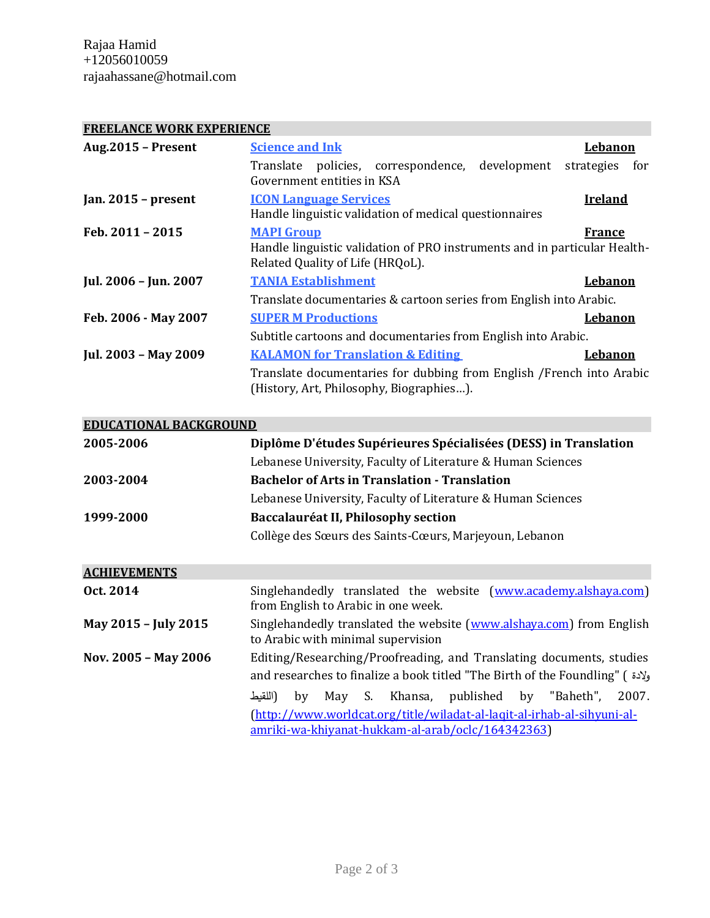Rajaa Hamid +12056010059 rajaahassane@hotmail.com

### **FREELANCE WORK EXPERIENCE**

| <b>Aug.2015 - Present</b> | <b>Science and Ink</b>                                                                                                             | Lebanon           |
|---------------------------|------------------------------------------------------------------------------------------------------------------------------------|-------------------|
|                           | policies, correspondence, development<br>Translate<br>Government entities in KSA                                                   | strategies<br>for |
| Jan. $2015$ – present     | <b>ICON Language Services</b><br>Handle linguistic validation of medical questionnaires                                            | <b>Ireland</b>    |
| Feb. 2011 - 2015          | <b>MAPI Group</b><br>Handle linguistic validation of PRO instruments and in particular Health-<br>Related Quality of Life (HRQoL). | France            |
| Jul. 2006 - Jun. 2007     | <b>TANIA Establishment</b>                                                                                                         | Lebanon           |
|                           | Translate documentaries & cartoon series from English into Arabic.                                                                 |                   |
| Feb. 2006 - May 2007      | <b>SUPER M Productions</b>                                                                                                         | <b>Lebanon</b>    |
|                           | Subtitle cartoons and documentaries from English into Arabic.                                                                      |                   |
| Jul. 2003 - May 2009      | <b>KALAMON for Translation &amp; Editing</b>                                                                                       | <b>Lebanon</b>    |
|                           | Translate documentaries for dubbing from English / French into Arabic<br>(History, Art, Philosophy, Biographies).                  |                   |

| <b>EDUCATIONAL BACKGROUND</b> |                                                                                                                                                                                                        |  |
|-------------------------------|--------------------------------------------------------------------------------------------------------------------------------------------------------------------------------------------------------|--|
| 2005-2006                     | Diplôme D'études Supérieures Spécialisées (DESS) in Translation                                                                                                                                        |  |
|                               | Lebanese University, Faculty of Literature & Human Sciences                                                                                                                                            |  |
| 2003-2004                     | <b>Bachelor of Arts in Translation - Translation</b>                                                                                                                                                   |  |
|                               | Lebanese University, Faculty of Literature & Human Sciences                                                                                                                                            |  |
| 1999-2000                     | Baccalauréat II, Philosophy section                                                                                                                                                                    |  |
|                               | Collège des Sœurs des Saints-Cœurs, Marjeyoun, Lebanon                                                                                                                                                 |  |
| <b>ACHIEVEMENTS</b>           |                                                                                                                                                                                                        |  |
| Oct. 2014                     | Singlehandedly translated the website (www.academy.alshaya.com)<br>from English to Arabic in one week.                                                                                                 |  |
| May 2015 - July 2015          | Singlehandedly translated the website (www.alshaya.com) from English<br>to Arabic with minimal supervision                                                                                             |  |
| Nov. 2005 - May 2006          | Editing/Researching/Proofreading, and Translating documents, studies<br>and researches to finalize a book titled "The Birth of the Foundling" ( ولإدة )                                                |  |
|                               | May S. Khansa, published by "Baheth",<br>2007.<br>(اللقنط<br>by<br>(http://www.worldcat.org/title/wiladat-al-laqit-al-irhab-al-sihyuni-al-<br><u>amriki-wa-khiyanat-hukkam-al-arab/oclc/164342363)</u> |  |